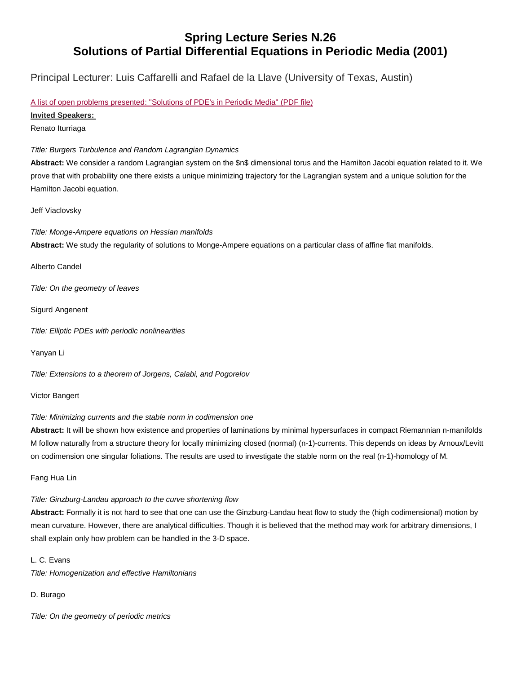# **Spring Lecture Series N.26 Solutions of Partial Differential Equations in Periodic Media (2001)**

Principal Lecturer: Luis Caffarelli and Rafael de la Llave (University of Texas, Austin)

[A list of open problems presented: "Solutions of PDE's in Periodic Media"](http://fulbright.uark.edu/departments/math/_resources/sls-public-lecture-2001-open.pdf) (PDF file)

**Invited Speakers:**

Renato Iturriaga

*Title: Burgers Turbulence and Random Lagrangian Dynamics*

**Abstract:** We consider a random Lagrangian system on the \$n\$ dimensional torus and the Hamilton Jacobi equation related to it. We prove that with probability one there exists a unique minimizing trajectory for the Lagrangian system and a unique solution for the Hamilton Jacobi equation.

#### Jeff Viaclovsky

*Title: Monge-Ampere equations on Hessian manifolds*

**Abstract:** We study the regularity of solutions to Monge-Ampere equations on a particular class of affine flat manifolds.

Alberto Candel

*Title: On the geometry of leaves*

Sigurd Angenent

*Title: Elliptic PDEs with periodic nonlinearities*

Yanyan Li

*Title: Extensions to a theorem of Jorgens, Calabi, and Pogorelov*

Victor Bangert

## *Title: Minimizing currents and the stable norm in codimension one*

**Abstract:** It will be shown how existence and properties of laminations by minimal hypersurfaces in compact Riemannian n-manifolds M follow naturally from a structure theory for locally minimizing closed (normal) (n-1)-currents. This depends on ideas by Arnoux/Levitt on codimension one singular foliations. The results are used to investigate the stable norm on the real (n-1)-homology of M.

Fang Hua Lin

## *Title: Ginzburg-Landau approach to the curve shortening flow*

**Abstract:** Formally it is not hard to see that one can use the Ginzburg-Landau heat flow to study the (high codimensional) motion by mean curvature. However, there are analytical difficulties. Though it is believed that the method may work for arbitrary dimensions, I shall explain only how problem can be handled in the 3-D space.

L. C. Evans

*Title: Homogenization and effective Hamiltonians*

D. Burago

*Title: On the geometry of periodic metrics*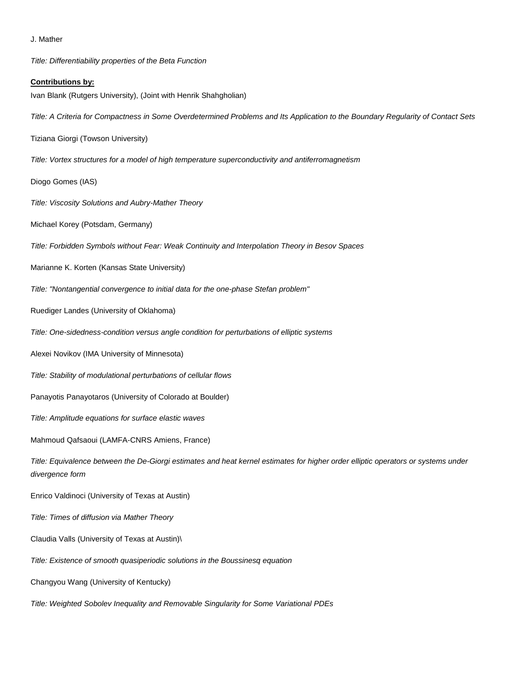J. Mather

*Title: Differentiability properties of the Beta Function*

#### **Contributions by:**

Ivan Blank (Rutgers University), (Joint with Henrik Shahgholian)

Title: A Criteria for Compactness in Some Overdetermined Problems and Its Application to the Boundary Regularity of Contact Sets

Tiziana Giorgi (Towson University)

*Title: Vortex structures for a model of high temperature superconductivity and antiferromagnetism*

Diogo Gomes (IAS)

*Title: Viscosity Solutions and Aubry-Mather Theory*

Michael Korey (Potsdam, Germany)

*Title: Forbidden Symbols without Fear: Weak Continuity and Interpolation Theory in Besov Spaces*

Marianne K. Korten (Kansas State University)

*Title: "Nontangential convergence to initial data for the one-phase Stefan problem"*

Ruediger Landes (University of Oklahoma)

*Title: One-sidedness-condition versus angle condition for perturbations of elliptic systems*

Alexei Novikov (IMA University of Minnesota)

*Title: Stability of modulational perturbations of cellular flows*

Panayotis Panayotaros (University of Colorado at Boulder)

*Title: Amplitude equations for surface elastic waves*

Mahmoud Qafsaoui (LAMFA-CNRS Amiens, France)

Title: Equivalence between the De-Giorgi estimates and heat kernel estimates for higher order elliptic operators or systems under *divergence form*

Enrico Valdinoci (University of Texas at Austin)

*Title: Times of diffusion via Mather Theory*

Claudia Valls (University of Texas at Austin)\

*Title: Existence of smooth quasiperiodic solutions in the Boussinesq equation*

Changyou Wang (University of Kentucky)

*Title: Weighted Sobolev Inequality and Removable Singularity for Some Variational PDEs*